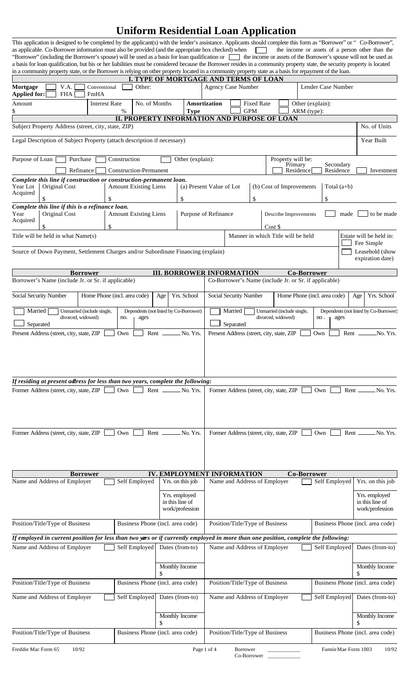# **Uniform Residential Loan Application**

| This application is designed to be completed by the applicant(s) with the lender's assistance. Applicants should complete this form as "Borrower" or " Co-Borrower",<br>as applicable. Co-Borrower information must also be provided (and the appropriate box checked) when<br>"Borrower" (including the Borrower's spouse) will be used as a basis for loan qualification or [ |                              |              |                               |        |                                                                    |                                           |           |                                                       |         |                              |                    |     |                        |        | the income or assets of a person other than the<br>the income or assets of the Borrower's spouse will not be used as |
|---------------------------------------------------------------------------------------------------------------------------------------------------------------------------------------------------------------------------------------------------------------------------------------------------------------------------------------------------------------------------------|------------------------------|--------------|-------------------------------|--------|--------------------------------------------------------------------|-------------------------------------------|-----------|-------------------------------------------------------|---------|------------------------------|--------------------|-----|------------------------|--------|----------------------------------------------------------------------------------------------------------------------|
| a basis for loan qualification, but his or her liabilities must be considered because the Borrower resides in a community property state, the security property is located                                                                                                                                                                                                      |                              |              |                               |        |                                                                    |                                           |           |                                                       |         |                              |                    |     |                        |        |                                                                                                                      |
| in a community property state, or the Borrower is relying on other property located in a community property state as a basis for repayment of the loan.                                                                                                                                                                                                                         |                              |              |                               |        | I. TYPE OF MORTGAGE AND TERMS OF LOAN                              |                                           |           |                                                       |         |                              |                    |     |                        |        |                                                                                                                      |
| V.A.<br>Mortgage                                                                                                                                                                                                                                                                                                                                                                | Conventional                 |              | Other:                        |        |                                                                    | <b>Agency Case Number</b>                 |           |                                                       |         |                              |                    |     | Lender Case Number     |        |                                                                                                                      |
| Applied for:<br><b>FHA</b>                                                                                                                                                                                                                                                                                                                                                      | FmHA                         |              |                               |        |                                                                    |                                           |           |                                                       |         |                              |                    |     |                        |        |                                                                                                                      |
| Amount                                                                                                                                                                                                                                                                                                                                                                          | <b>Interest Rate</b>         |              | No. of Months                 |        | Amortization                                                       |                                           |           | <b>Fixed Rate</b>                                     |         |                              | Other (explain):   |     |                        |        |                                                                                                                      |
| \$                                                                                                                                                                                                                                                                                                                                                                              |                              | $\%$         |                               |        | <b>Type</b><br><b>II. PROPERTY INFORMATION AND PURPOSE OF LOAN</b> |                                           |           | <b>GPM</b>                                            |         |                              | ARM (type):        |     |                        |        |                                                                                                                      |
| Subject Property Address (street, city, state, ZIP)                                                                                                                                                                                                                                                                                                                             |                              |              |                               |        |                                                                    |                                           |           |                                                       |         |                              |                    |     |                        |        | No. of Units                                                                                                         |
| Legal Description of Subject Property (attach description if necessary)                                                                                                                                                                                                                                                                                                         |                              |              |                               |        |                                                                    |                                           |           |                                                       |         |                              |                    |     |                        |        | Year Built                                                                                                           |
|                                                                                                                                                                                                                                                                                                                                                                                 |                              |              |                               |        |                                                                    |                                           |           |                                                       |         |                              |                    |     |                        |        |                                                                                                                      |
| Purpose of Loan<br>Purchase                                                                                                                                                                                                                                                                                                                                                     |                              | Construction |                               |        | Other (explain):                                                   |                                           |           |                                                       |         | Property will be:            |                    |     |                        |        |                                                                                                                      |
| Refinance                                                                                                                                                                                                                                                                                                                                                                       |                              |              | <b>Construction-Permanent</b> |        |                                                                    |                                           |           |                                                       |         | Primary                      | Residence          |     | Secondary<br>Residence |        | Investment                                                                                                           |
| Complete this line if construction or construction-permanent loan.                                                                                                                                                                                                                                                                                                              |                              |              |                               |        |                                                                    |                                           |           |                                                       |         |                              |                    |     |                        |        |                                                                                                                      |
| Year Lot<br>Original Cost                                                                                                                                                                                                                                                                                                                                                       |                              |              | <b>Amount Existing Liens</b>  |        | (a) Present Value of Lot                                           |                                           |           |                                                       |         | (b) Cost of Improvements     |                    |     | Total $(a+b)$          |        |                                                                                                                      |
| Acquired                                                                                                                                                                                                                                                                                                                                                                        | \$                           |              |                               |        | \$                                                                 |                                           |           | \$                                                    |         |                              |                    | \$  |                        |        |                                                                                                                      |
| Complete this line if this is a refinance loan.                                                                                                                                                                                                                                                                                                                                 |                              |              |                               |        |                                                                    |                                           |           |                                                       |         |                              |                    |     |                        |        |                                                                                                                      |
| Year<br>Original Cost<br>Acquired                                                                                                                                                                                                                                                                                                                                               |                              |              | <b>Amount Existing Liens</b>  |        | Purpose of Refinance                                               |                                           |           |                                                       |         | Describe Improvements        |                    |     | made                   |        | to be made                                                                                                           |
|                                                                                                                                                                                                                                                                                                                                                                                 | \$                           |              |                               |        |                                                                    |                                           |           |                                                       | Cost \$ |                              |                    |     |                        |        |                                                                                                                      |
| Title will be held in what Name(s)                                                                                                                                                                                                                                                                                                                                              |                              |              |                               |        |                                                                    |                                           |           | Manner in which Title will be held                    |         |                              |                    |     |                        |        | Estate will be held in:                                                                                              |
|                                                                                                                                                                                                                                                                                                                                                                                 |                              |              |                               |        |                                                                    |                                           |           |                                                       |         |                              |                    |     |                        |        | Fee Simple                                                                                                           |
| Source of Down Payment, Settlement Charges and/or Subordinate Financing (explain)                                                                                                                                                                                                                                                                                               |                              |              |                               |        |                                                                    |                                           |           |                                                       |         |                              |                    |     |                        |        | Leasehold (show<br>expiration date)                                                                                  |
|                                                                                                                                                                                                                                                                                                                                                                                 |                              |              |                               |        |                                                                    |                                           |           |                                                       |         |                              |                    |     |                        |        |                                                                                                                      |
| Borrower's Name (include Jr. or Sr. if applicable)                                                                                                                                                                                                                                                                                                                              | <b>Borrower</b>              |              |                               |        | <b>III. BORROWER INFORMATION</b>                                   |                                           |           | Co-Borrower's Name (include Jr. or Sr. if applicable) |         |                              | <b>Co-Borrower</b> |     |                        |        |                                                                                                                      |
|                                                                                                                                                                                                                                                                                                                                                                                 |                              |              |                               |        |                                                                    |                                           |           |                                                       |         |                              |                    |     |                        |        |                                                                                                                      |
| Social Security Number                                                                                                                                                                                                                                                                                                                                                          | Home Phone (incl. area code) |              |                               | Age    | Yrs. School                                                        |                                           |           | Social Security Number                                |         | Home Phone (incl. area code) |                    |     |                        | Age    | Yrs. School                                                                                                          |
| Married                                                                                                                                                                                                                                                                                                                                                                         | Unmarried (include single,   |              |                               |        | Dependents (not listed by Co-Borrower)                             |                                           | Married   |                                                       |         | Unmarried (include single,   |                    |     |                        |        | Dependents (not listed by Co-Borrower)                                                                               |
| divorced, widowed)                                                                                                                                                                                                                                                                                                                                                              |                              | no.          | ages                          |        |                                                                    |                                           |           |                                                       |         | divorced, widowed)           |                    | no. | ages                   |        |                                                                                                                      |
| Separated<br>Present Address (street, city, state, ZIP                                                                                                                                                                                                                                                                                                                          |                              | Own          |                               | Rent _ | - No. Yrs.                                                         | Present Address (street, city, state, ZIP | Separated |                                                       |         |                              |                    | Own |                        |        | No. Yrs.                                                                                                             |
| If residing at present adtress for less than two years, complete the following:                                                                                                                                                                                                                                                                                                 |                              |              |                               |        |                                                                    |                                           |           |                                                       |         |                              |                    |     |                        |        |                                                                                                                      |
| Former Address (street, city, state, ZIP                                                                                                                                                                                                                                                                                                                                        |                              | Own          | Rent                          |        | No. Yrs.                                                           |                                           |           | Former Address (street, city, state, ZIP              |         |                              |                    | Own |                        | Rent   | No. Yrs.                                                                                                             |
| Former Address (street, city, state, ZIP                                                                                                                                                                                                                                                                                                                                        |                              | Own          | Rent -                        |        | No. Yrs.                                                           |                                           |           | Former Address (street, city, state, ZIP              |         |                              |                    | Own |                        | Rent - | - No. Yrs.                                                                                                           |
|                                                                                                                                                                                                                                                                                                                                                                                 |                              |              |                               |        |                                                                    |                                           |           |                                                       |         |                              |                    |     |                        |        |                                                                                                                      |
| Name and Address of Employer                                                                                                                                                                                                                                                                                                                                                    | <b>Borrower</b>              |              | Self Employed                 |        | <b>IV. EMPLOYMENT INFORMATION</b><br>Yrs. on this job              |                                           |           | Name and Address of Employer                          |         |                              | <b>Co-Borrower</b> |     | Self Employed          |        | Yrs. on this job                                                                                                     |
|                                                                                                                                                                                                                                                                                                                                                                                 |                              |              |                               |        |                                                                    |                                           |           |                                                       |         |                              |                    |     |                        |        |                                                                                                                      |
|                                                                                                                                                                                                                                                                                                                                                                                 |                              |              |                               |        | Yrs. employed<br>in this line of<br>work/profession                |                                           |           |                                                       |         |                              |                    |     |                        |        | Yrs. employed<br>in this line of<br>work/profession                                                                  |
| Position/Title/Type of Business                                                                                                                                                                                                                                                                                                                                                 |                              |              |                               |        | Business Phone (incl. area code)                                   |                                           |           | Position/Title/Type of Business                       |         |                              |                    |     |                        |        | Business Phone (incl. area code)                                                                                     |
| If employed in current position for less than two yers or if currently employed in more than one position, complete the following:                                                                                                                                                                                                                                              |                              |              |                               |        |                                                                    |                                           |           |                                                       |         |                              |                    |     |                        |        |                                                                                                                      |
| Name and Address of Employer                                                                                                                                                                                                                                                                                                                                                    |                              |              | Self Employed                 |        | Dates (from-to)                                                    |                                           |           | Name and Address of Employer                          |         |                              |                    |     | Self Employed          |        | Dates (from-to)                                                                                                      |
|                                                                                                                                                                                                                                                                                                                                                                                 |                              |              |                               | S      | Monthly Income                                                     |                                           |           |                                                       |         |                              |                    |     |                        |        | Monthly Income                                                                                                       |
| Position/Title/Type of Business                                                                                                                                                                                                                                                                                                                                                 |                              |              |                               |        | Business Phone (incl. area code)                                   |                                           |           | Position/Title/Type of Business                       |         |                              |                    |     |                        |        | Business Phone (incl. area code)                                                                                     |
| Name and Address of Employer                                                                                                                                                                                                                                                                                                                                                    |                              |              | Self Employed                 |        | Dates (from-to)                                                    |                                           |           | Name and Address of Employer                          |         |                              |                    |     | Self Employed          |        | Dates (from-to)                                                                                                      |
| Position/Title/Type of Business                                                                                                                                                                                                                                                                                                                                                 |                              |              |                               | \$     | Monthly Income<br>Business Phone (incl. area code)                 |                                           |           | Position/Title/Type of Business                       |         |                              |                    |     |                        | \$     | Monthly Income<br>Business Phone (incl. area code)                                                                   |
|                                                                                                                                                                                                                                                                                                                                                                                 |                              |              |                               |        |                                                                    |                                           |           |                                                       |         |                              |                    |     |                        |        |                                                                                                                      |
| Freddie Mac Form 65<br>10/92                                                                                                                                                                                                                                                                                                                                                    |                              |              |                               |        | Page 1 of 4                                                        |                                           |           | <b>Borrower</b>                                       |         |                              |                    |     | Fannie Mae Form 1003   |        | 10/92                                                                                                                |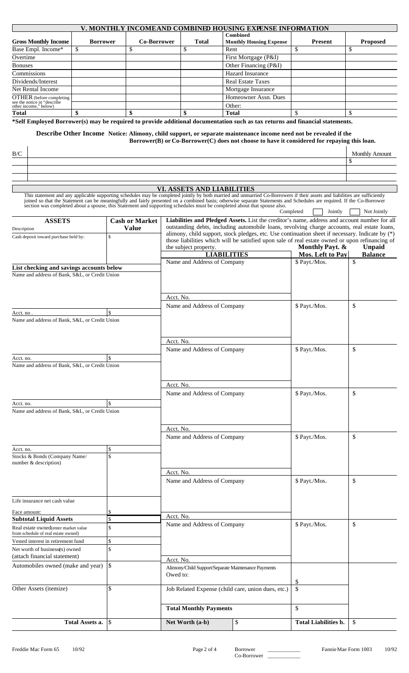| V. MONTHLY INCOMEAND COMBINED HOUSING EXPENSE INFORMATION |                 |             |              |                                                   |                |                 |  |  |
|-----------------------------------------------------------|-----------------|-------------|--------------|---------------------------------------------------|----------------|-----------------|--|--|
| <b>Gross Monthly Income</b>                               | <b>Borrower</b> | Co-Borrower | <b>Total</b> | <b>Combined</b><br><b>Monthly Housing Expense</b> | <b>Present</b> | <b>Proposed</b> |  |  |
| Base Empl. Income*                                        |                 |             |              | Rent                                              |                |                 |  |  |
| Overtime                                                  |                 |             |              | First Mortgage (P&I)                              |                |                 |  |  |
| <b>Bonuses</b>                                            |                 |             |              | Other Financing (P&I)                             |                |                 |  |  |
| Commissions                                               |                 |             |              | <b>Hazard Insurance</b>                           |                |                 |  |  |
| Dividends/Interest                                        |                 |             |              | <b>Real Estate Taxes</b>                          |                |                 |  |  |
| Net Rental Income                                         |                 |             |              | Mortgage Insurance                                |                |                 |  |  |
| OTHER (before completing                                  |                 |             |              | Homeowner Assn. Dues                              |                |                 |  |  |
| see the notice in "describe"<br>other income," below)     |                 |             |              | Other:                                            |                |                 |  |  |
| <b>Total</b>                                              |                 |             |              | <b>Total</b>                                      |                |                 |  |  |

**\*Self Employed Borrower(s) may be required to provide additional documentation such as tax returns and financial statements.**

**Describe Other Income Notice: Alimony, child support, or separate maintenance income need not be revealed if the Borrower(B) or Co-Borrower(C) does not choose to have it considered for repaying this loan.**

| B/C | Monthly Amount |
|-----|----------------|
|     |                |
|     |                |
|     |                |

#### **VI. ASSETS AND LIABILITIES**

This statement and any applicable supporting schedules may be completed jointly by both married and unmarried Co-Borrowers if their assets and liabilities are sufficiently joined so that the Statement can be meaningfully a Completed | Jointly | Not Jointly **ASSETS Cash or Market** Description **Value** Cash deposit toward purchase held by: **List checking and savings accounts below** Name and address of Bank, S&L, or Credit Union Acct. no .  $\S$ Name and address of Bank, S&L, or Credit Union Acct. no.  $\qquad \qquad$ Name and address of Bank, S&L, or Credit Union Acct. no. Name and address of Bank, S&L, or Credit Union Acct. no. Stocks & Bonds (Company Name/ \$ number & description) Life insurance net cash value Face amount: **Subtotal Liquid Assets** \$ Real estate owned (enter market value  $\sim$  \$ from schedule of real estate owned) Vested interest in retirement fund \$ Net worth of business $(\text{\$})$  owned  $\text{\$}$ (attach financial statement) Automobiles owned (make and year)  $\frac{1}{s}$ Other Assets (itemize)  $\vert \$ **Total Assets a. S Liabilities and Pledged Assets.** List the creditor's name, address and account number for all outstanding debts, including automobile loans, revolving charge accounts, real estate loans, alimony, child support, stock pledges, etc. Use continuation sheet if necessary. Indicate by (\*) those liabilities which will be satisfied upon sale of real estate owned or upon refinancing of the subject property.<br> **Monthly Payt. &** Unpaid<br> **Mos. Left to Pay** Balance **Mos. Left to Pay Balance** Name and Address of Company \$ Payt./Mos. \$ Acct. No. Name and Address of Company  $\S$  Payt./Mos.  $\S$ Acct. No. Name and Address of Company \$ Payt./Mos. \$ Acct. No. Name and Address of Company \$ Payt./Mos. \$ Acct. No. Name and Address of Company  $\Big| \$  Payt./Mos.  $\Big| \$ Acct. No. Name and Address of Company \$ Payt./Mos. \$ Acct. No. Name and Address of Company  $\Big| \$  Payt./Mos.  $\Big| \$ Acct. No. Alimony/Child Support/Separate Maintenance Payments Owed to: \$ Job Related Expense (child care, union dues, etc.)  $\mid$  \$ Total Monthly Payments  $\begin{array}{c} \uparrow \end{array}$ **Net Worth (a-b)**  $\begin{array}{|c|c|c|c|c|} \hline \text{$S$} & \text{Total Liabilities b.} & \text{\$$} \hline \end{array}$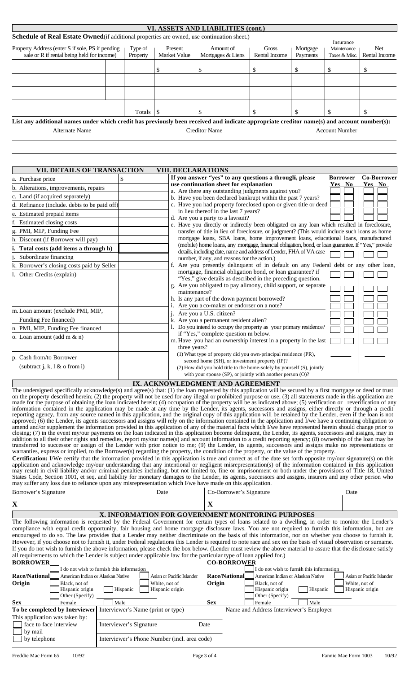|                                                                                                                                            |                     |                         | VI. ASSETS AND LIABILITIES (cont.) |                        |                      |                                           |                       |
|--------------------------------------------------------------------------------------------------------------------------------------------|---------------------|-------------------------|------------------------------------|------------------------|----------------------|-------------------------------------------|-----------------------|
| Schedule of Real Estate Owned (if additional properties are owned, use continuation sheet.)                                                |                     |                         |                                    |                        |                      |                                           |                       |
| Property Address (enter S if sole, PS if pending<br>sale or R if rental being held for income)                                             | Type of<br>Property | Present<br>Market Value | Amount of<br>Mortgages & Liens     | Gross<br>Rental Income | Mortgage<br>Payments | Insurance<br>Maintenance<br>Taxes & Misc. | Net.<br>Rental Income |
|                                                                                                                                            |                     |                         |                                    |                        |                      |                                           |                       |
|                                                                                                                                            |                     |                         |                                    |                        |                      |                                           |                       |
|                                                                                                                                            |                     |                         |                                    |                        |                      |                                           |                       |
|                                                                                                                                            | Totals              |                         |                                    |                        |                      |                                           |                       |
| List any additional names under which credit has previously been received and indicate appropriate creditor name(s) and account number(s): |                     |                         |                                    |                        |                      |                                           |                       |
| Alternate Name                                                                                                                             |                     |                         | <b>Creditor Name</b>               |                        |                      | <b>Account Number</b>                     |                       |

| VII. DETAILS OF TRANSACTION                  | <b>VIII. DECLARATIONS</b>                                                                                                                                                  |                 |             |
|----------------------------------------------|----------------------------------------------------------------------------------------------------------------------------------------------------------------------------|-----------------|-------------|
| a. Purchase price                            | \$<br>If you answer "yes" to any questions a through, please                                                                                                               | <b>Borrower</b> | Co-Borrower |
| b. Alterations, improvements, repairs        | use continuation sheet for explanation<br>a. Are there any outstanding judgments against you?                                                                              | <u>Yes No</u>   | Yes No      |
| c. Land (if acquired separately)             | b. Have you been declared bankrupt within the past 7 years?                                                                                                                |                 |             |
| d. Refinance (include. debts to be paid off) | c. Have you had property foreclosed upon or given title or deed                                                                                                            |                 |             |
| e. Estimated prepaid items                   | in lieu thereof in the last 7 years?<br>d. Are you a party to a lawsuit?                                                                                                   |                 |             |
| f. Estimated closing costs                   | e. Have you directly or indirectly been obligated on any loan which resulted in foreclosure,                                                                               |                 |             |
| g. PMI, MIP, Funding Fee                     | transfer of title in lieu of foreclosure, or judgment? (This would include such loans as home                                                                              |                 |             |
| h. Discount (if Borrower will pay)           | mortgage loans, SBA loans, home improvement loans, educational loans, manufactured                                                                                         |                 |             |
| i. Total costs (add items a through h)       | (mobile) home loans, any mortgage, financial obligation, bond, or loan guarantee. If "Yes," provide<br>details, including date, name and address of Lender, FHA of VA case |                 |             |
| Subordinate financing                        | number, if any, and reasons for the action.)                                                                                                                               |                 |             |
| k. Borrower's closing costs paid by Seller   | f. Are you presently delinquent of in default on any Federal debt or any other loan,                                                                                       |                 |             |
| 1. Other Credits (explain)                   | mortgage, financial obligation bond, or loan guarantee? if<br>"Yes," give details as described in the preceding question.                                                  |                 |             |
|                                              | g. Are you obligated to pay alimony, child support, or separate<br>maintenance?                                                                                            |                 |             |
|                                              | h. Is any part of the down payment borrowed?                                                                                                                               |                 |             |
| m. Loan amount (exclude PMI, MIP,            | Are you a co-maker or endorser on a note?<br>Are you a U.S. citizen?                                                                                                       |                 |             |
| Funding Fee financed)                        | k. Are you a permanent resident alien?                                                                                                                                     |                 |             |
| n. PMI, MIP, Funding Fee financed            | 1. Do you intend to occupy the property as your primary residence?                                                                                                         |                 |             |
| o. Loan amount (add m & n)                   | if "Yes," complete question m below.<br>m. Have you had an ownership interest in a property in the last                                                                    |                 |             |
|                                              | three years?                                                                                                                                                               |                 |             |
| p. Cash from/to Borrower                     | (1) What type of property did you own-principal residence (PR),                                                                                                            |                 |             |
| (subtract j, k, $\&$ o from i)               | second home (SH), or investment property (IP)?<br>(2) How did you hold title to the home-solely by yourself (S), jointly                                                   |                 |             |
|                                              | with your spouse $(SP)$ , or jointly with another person $(O)$ ?                                                                                                           |                 |             |
|                                              |                                                                                                                                                                            |                 |             |

| IX. ACKNOWLEDGMENT AND AGREEMENT                                          |  |
|---------------------------------------------------------------------------|--|
| and agree(s) that: (1) the loan requested by this application will be seq |  |

The undersigned specifically acknowledge(s) and agree(s) that: (1) the loan requested by this application will be secured by a first mortgage or deed or trust on the property described herein; (2) the property will not be used for any illegal or prohibited purpose or use; (3) all statements made in this application are made for the purpose of obtaining the loan indicated herein; (4) occupation of the property will be as indicated above; (5) verification or reverification of any information contained in the application may be made at any time by the Lender, its agents, successors and assigns, either directly or through a credit reporting agency, from any source named in this application, and the original copy of this application will be retained by the Lender, even if the loan is not approved; (6) the Lender, its agents successors and assigns will rely on the information contained in the application and I/we have a continuing obligation to amend and/or supplement the information provided in this application of any of the material facts which I/we have represented herein should change prior to closing; (7) in the event my/our payments on the loan indicated in this application become delinquent, the Lender, its agents, successors and assigns, may in addition to all their other rights and remedies, report my/our name(s) and account information to a credit reporting agency; (8) ownership of the loan may be transferred to successor or assign of the Lender with prior notice to me; (9) the Lender, its agents, successors and assigns make no representations or warranties, express or implied, to the Borrower(s) regarding the property, the condition of the property, or the value of the property.

**Certification:** I/We certify that the information provided in this application is true and correct as of the date set forth opposite my/our signature(s) on this application and acknowledge my/our understanding that any intentional or negligent misrepresentation(s) of the information contained in this application may result in civil liability and/or criminal penalties including, but not limited to, fine or imprisonment or both under the provisions of Title 18, United States Code, Section 1001, et seq. and liability for monetary damages to the Lender, its agents, successors and assigns, insurers and any other person who may suffer any loss due to reliance upon any misrepresentation which I/we have made on this application.

| Borrower's Signature                               | Date                                                                                                               | Co-Borrower's Signature                                                                                                                                         | Date                        |
|----------------------------------------------------|--------------------------------------------------------------------------------------------------------------------|-----------------------------------------------------------------------------------------------------------------------------------------------------------------|-----------------------------|
| $\mathbf X$                                        |                                                                                                                    | X                                                                                                                                                               |                             |
|                                                    |                                                                                                                    | X. INFORMATION FOR GOVERNMENT MONITORING PURPOSES                                                                                                               |                             |
|                                                    |                                                                                                                    | The following information is requested by the Federal Government for certain types of loans related to a dwelling, in order to monitor the Lender's             |                             |
|                                                    |                                                                                                                    | compliance with equal credit opportunity, fair housing and home mortgage disclosure laws. You are not required to furnish this information, but are             |                             |
|                                                    |                                                                                                                    | encouraged to do so. The law provides that a Lender may neither discriminate on the basis of this information, nor on whether you choose to furnish it.         |                             |
|                                                    |                                                                                                                    | However, if you choose not to furnish it, under Federal regulations this Lender is required to note race and sex on the basis of visual observation or surname. |                             |
|                                                    |                                                                                                                    | If you do not wish to furnish the above information, please check the box below. (Lender must review the above material to assure that the disclosure satisfy   |                             |
|                                                    | all requirements to which the Lender is subject under applicable law for the particular type of loan applied for.) |                                                                                                                                                                 |                             |
| <b>BORROWER</b>                                    |                                                                                                                    | <b>CO-BORROWER</b>                                                                                                                                              |                             |
|                                                    | I do not wish to furnish this information                                                                          | I do not wish to furnish this information                                                                                                                       |                             |
| Race/National<br>American Indian or Alaskan Native | Asian or Pacific Islander                                                                                          | <b>Race/National</b><br>American Indian or Alaskan Native                                                                                                       | Asian or Pacific Islander   |
| Origin<br>Black, not of                            | White, not of                                                                                                      | Origin<br>Black, not of                                                                                                                                         | White, not of               |
| Hispanic origin                                    | Hispanic<br>Hispanic origin                                                                                        | Hispanic origin                                                                                                                                                 | Hispanic<br>Hispanic origin |
| Other (Specify)                                    |                                                                                                                    | Other (Specify)                                                                                                                                                 |                             |
| <b>Sex</b><br>Female                               | Male                                                                                                               | <b>Sex</b><br>Female                                                                                                                                            | Male                        |
| To be completed by Interviewer                     | Interviewer's Name (print or type)                                                                                 | Name and Address Interviewer's Employer                                                                                                                         |                             |
| This application was taken by:                     |                                                                                                                    |                                                                                                                                                                 |                             |
| face to face interview                             | Interviewer's Signature                                                                                            | Date                                                                                                                                                            |                             |
| by mail                                            |                                                                                                                    |                                                                                                                                                                 |                             |
| by telephone                                       | Interviewer's Phone Number (incl. area code)                                                                       |                                                                                                                                                                 |                             |
|                                                    |                                                                                                                    |                                                                                                                                                                 |                             |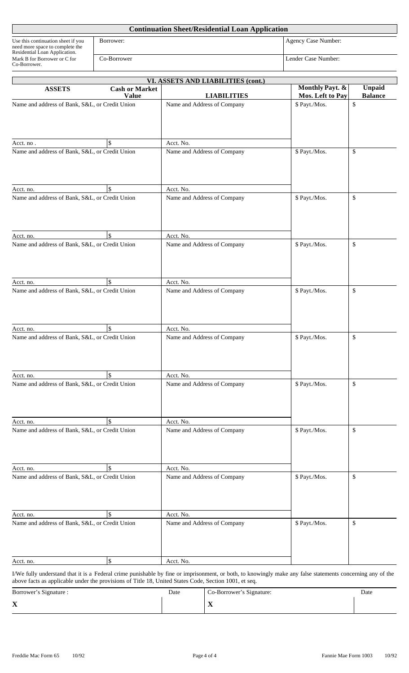| <b>Continuation Sheet/Residential Loan Application</b> |
|--------------------------------------------------------|
|--------------------------------------------------------|

Use this continuation sheet if you Borrower: Agency Case Number: Agency Case Number: need more space to complete the Residential Loan Application. Mark B for Borrower or C for Co-Borrower Co-Borrower Lender Case Number: Co-Borrower.

|                                                |                                       | VI. ASSETS AND LIABILITIES (cont.) |                                     |                                 |
|------------------------------------------------|---------------------------------------|------------------------------------|-------------------------------------|---------------------------------|
| <b>ASSETS</b>                                  | <b>Cash or Market</b><br><b>Value</b> | <b>LIABILITIES</b>                 | Monthly Payt. &<br>Mos. Left to Pay | <b>Unpaid</b><br><b>Balance</b> |
| Name and address of Bank, S&L, or Credit Union |                                       | Name and Address of Company        | \$ Payt./Mos.                       | $\$$                            |
|                                                |                                       |                                    |                                     |                                 |
| Acct. no.                                      | \$                                    | Acct. No.                          |                                     |                                 |
| Name and address of Bank, S&L, or Credit Union |                                       | Name and Address of Company        | \$ Payt./Mos.                       | \$                              |
|                                                |                                       |                                    |                                     |                                 |
| Acct. no.                                      | \$                                    | Acct. No.                          |                                     |                                 |
| Name and address of Bank, S&L, or Credit Union |                                       | Name and Address of Company        | \$ Payt./Mos.                       | \$                              |
| Acct. no.                                      | $\mathbf{\hat{S}}$                    | Acct. No.                          |                                     |                                 |
| Name and address of Bank, S&L, or Credit Union |                                       | Name and Address of Company        | \$ Payt./Mos.                       | \$                              |
|                                                |                                       |                                    |                                     |                                 |
| Acct. no.                                      | \$                                    | Acct. No.                          |                                     |                                 |
| Name and address of Bank, S&L, or Credit Union |                                       | Name and Address of Company        | \$ Payt./Mos.                       | \$                              |
| Acct. no.                                      | \$                                    | Acct. No.                          |                                     |                                 |
| Name and address of Bank, S&L, or Credit Union |                                       | Name and Address of Company        | \$ Payt./Mos.                       | \$                              |
| Acct. no.                                      | $\mathbb S$                           | Acct. No.                          |                                     |                                 |
| Name and address of Bank, S&L, or Credit Union |                                       | Name and Address of Company        | \$ Payt./Mos.                       | \$                              |
| Acct. no.                                      |                                       | Acct. No.                          |                                     |                                 |
| Name and address of Bank, S&L, or Credit Union |                                       | Name and Address of Company        | \$ Payt./Mos.                       | \$                              |
| Acct. no.                                      | \$                                    | Acct. No.                          |                                     |                                 |
| Name and address of Bank, S&L, or Credit Union |                                       | Name and Address of Company        | \$ Payt./Mos.                       | $\$$                            |
|                                                |                                       |                                    |                                     |                                 |
| Acct. no.                                      | \$                                    | Acct. No.                          |                                     |                                 |
| Name and address of Bank, S&L, or Credit Union |                                       | Name and Address of Company        | \$ Payt./Mos.                       | \$                              |
| Acct. no.                                      | $\mathbb S$                           | Acct. No.                          |                                     |                                 |
|                                                |                                       |                                    |                                     |                                 |

I/We fully understand that it is a Federal crime punishable by fine or imprisonment, or both, to knowingly make any false statements concerning any of the above facts as applicable under the provisions of Title 18, United States Code, Section 1001, et seq.

| Borrower's Signature :        | Date | Co-Borrower's Signature: | Date |
|-------------------------------|------|--------------------------|------|
| $\overline{\mathbf{x}}$<br>́△ |      | $\mathbf{z}$             |      |